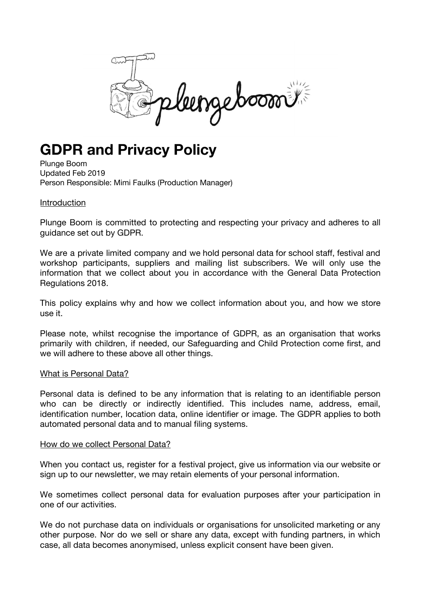leengeboom

# **GDPR and Privacy Policy**

Plunge Boom Updated Feb 2019 Person Responsible: Mimi Faulks (Production Manager)

#### Introduction

Plunge Boom is committed to protecting and respecting your privacy and adheres to all guidance set out by GDPR.

We are a private limited company and we hold personal data for school staff, festival and workshop participants, suppliers and mailing list subscribers. We will only use the information that we collect about you in accordance with the General Data Protection Regulations 2018.

This policy explains why and how we collect information about you, and how we store use it.

Please note, whilst recognise the importance of GDPR, as an organisation that works primarily with children, if needed, our Safeguarding and Child Protection come first, and we will adhere to these above all other things.

#### What is Personal Data?

Personal data is defined to be any information that is relating to an identifiable person who can be directly or indirectly identified. This includes name, address, email, identification number, location data, online identifier or image. The GDPR applies to both automated personal data and to manual filing systems.

#### How do we collect Personal Data?

When you contact us, register for a festival project, give us information via our website or sign up to our newsletter, we may retain elements of your personal information.

We sometimes collect personal data for evaluation purposes after your participation in one of our activities.

We do not purchase data on individuals or organisations for unsolicited marketing or any other purpose. Nor do we sell or share any data, except with funding partners, in which case, all data becomes anonymised, unless explicit consent have been given.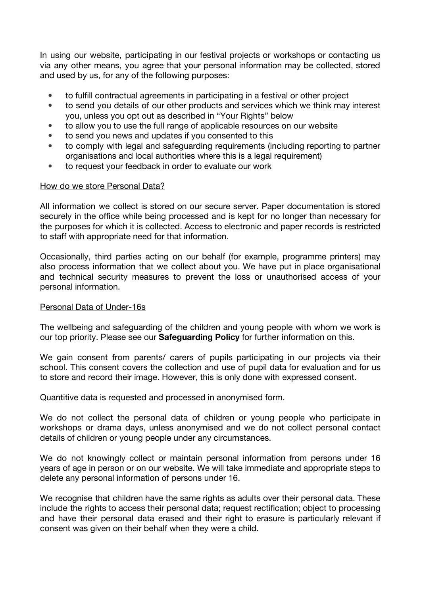In using our website, participating in our festival projects or workshops or contacting us via any other means, you agree that your personal information may be collected, stored and used by us, for any of the following purposes:

- to fulfill contractual agreements in participating in a festival or other project
- to send you details of our other products and services which we think may interest you, unless you opt out as described in "Your Rights" below
- to allow you to use the full range of applicable resources on our website
- to send you news and updates if you consented to this
- to comply with legal and safeguarding requirements (including reporting to partner organisations and local authorities where this is a legal requirement)
- to request your feedback in order to evaluate our work

#### How do we store Personal Data?

All information we collect is stored on our secure server. Paper documentation is stored securely in the office while being processed and is kept for no longer than necessary for the purposes for which it is collected. Access to electronic and paper records is restricted to staff with appropriate need for that information.

Occasionally, third parties acting on our behalf (for example, programme printers) may also process information that we collect about you. We have put in place organisational and technical security measures to prevent the loss or unauthorised access of your personal information.

# Personal Data of Under-16s

The wellbeing and safeguarding of the children and young people with whom we work is our top priority. Please see our **Safeguarding Policy** for further information on this.

We gain consent from parents/ carers of pupils participating in our projects via their school. This consent covers the collection and use of pupil data for evaluation and for us to store and record their image. However, this is only done with expressed consent.

Quantitive data is requested and processed in anonymised form.

We do not collect the personal data of children or young people who participate in workshops or drama days, unless anonymised and we do not collect personal contact details of children or young people under any circumstances.

We do not knowingly collect or maintain personal information from persons under 16 years of age in person or on our website. We will take immediate and appropriate steps to delete any personal information of persons under 16.

We recognise that children have the same rights as adults over their personal data. These include the rights to access their personal data; request rectification; object to processing and have their personal data erased and their right to erasure is particularly relevant if consent was given on their behalf when they were a child.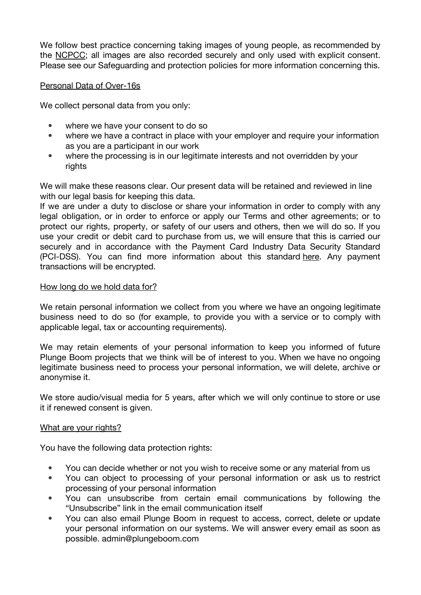We follow best practice concerning taking images of young people, as recommended by the [NCPCC;](https://learning.nspcc.org.uk/research-resources/briefings/photography-sharing-images-guidance/) all images are also recorded securely and only used with explicit consent. Please see our Safeguarding and protection policies for more information concerning this.

# Personal Data of Over-16s

We collect personal data from you only:

- where we have your consent to do so
- where we have a contract in place with your employer and require your information as you are a participant in our work
- where the processing is in our legitimate interests and not overridden by your rights

We will make these reasons clear. Our present data will be retained and reviewed in line with our legal basis for keeping this data.

If we are under a duty to disclose or share your information in order to comply with any legal obligation, or in order to enforce or apply our Terms and other agreements; or to protect our rights, property, or safety of our users and others, then we will do so. If you use your credit or debit card to purchase from us, we will ensure that this is carried our securely and in accordance with the Payment Card Industry Data Security Standard (PCI-DSS). You can find more information about this standard [here.](https://www.pcisecuritystandards.org/pci_security/) Any payment transactions will be encrypted.

# How long do we hold data for?

We retain personal information we collect from you where we have an ongoing legitimate business need to do so (for example, to provide you with a service or to comply with applicable legal, tax or accounting requirements).

We may retain elements of your personal information to keep you informed of future Plunge Boom projects that we think will be of interest to you. When we have no ongoing legitimate business need to process your personal information, we will delete, archive or anonymise it.

We store audio/visual media for 5 years, after which we will only continue to store or use it if renewed consent is given.

# What are your rights?

You have the following data protection rights:

- You can decide whether or not you wish to receive some or any material from us
- You can object to processing of your personal information or ask us to restrict processing of your personal information
- You can unsubscribe from certain email communications by following the "Unsubscribe" link in the email communication itself
- You can also email Plunge Boom in request to access, correct, delete or update your personal information on our systems. We will answer every email as soon as possible. admin@plungeboom.com